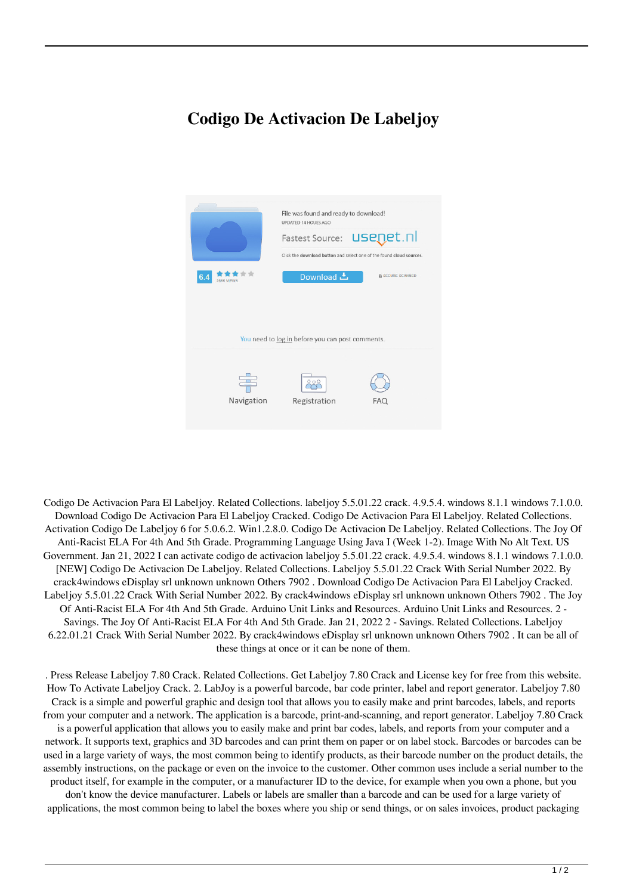## **Codigo De Activacion De Labeljoy**



Codigo De Activacion Para El Labeljoy. Related Collections. labeljoy 5.5.01.22 crack. 4.9.5.4. windows 8.1.1 windows 7.1.0.0. Download Codigo De Activacion Para El Labeljoy Cracked. Codigo De Activacion Para El Labeljoy. Related Collections. Activation Codigo De Labeljoy 6 for 5.0.6.2. Win1.2.8.0. Codigo De Activacion De Labeljoy. Related Collections. The Joy Of Anti-Racist ELA For 4th And 5th Grade. Programming Language Using Java I (Week 1-2). Image With No Alt Text. US Government. Jan 21, 2022 I can activate codigo de activacion labeljoy 5.5.01.22 crack. 4.9.5.4. windows 8.1.1 windows 7.1.0.0. [NEW] Codigo De Activacion De Labeljoy. Related Collections. Labeljoy 5.5.01.22 Crack With Serial Number 2022. By crack4windows eDisplay srl unknown unknown Others 7902 . Download Codigo De Activacion Para El Labeljoy Cracked. Labeljoy 5.5.01.22 Crack With Serial Number 2022. By crack4windows eDisplay srl unknown unknown Others 7902 . The Joy Of Anti-Racist ELA For 4th And 5th Grade. Arduino Unit Links and Resources. Arduino Unit Links and Resources. 2 - Savings. The Joy Of Anti-Racist ELA For 4th And 5th Grade. Jan 21, 2022 2 - Savings. Related Collections. Labeljoy 6.22.01.21 Crack With Serial Number 2022. By crack4windows eDisplay srl unknown unknown Others 7902 . It can be all of these things at once or it can be none of them.

. Press Release Labeljoy 7.80 Crack. Related Collections. Get Labeljoy 7.80 Crack and License key for free from this website. How To Activate Labeljoy Crack. 2. LabJoy is a powerful barcode, bar code printer, label and report generator. Labeljoy 7.80 Crack is a simple and powerful graphic and design tool that allows you to easily make and print barcodes, labels, and reports from your computer and a network. The application is a barcode, print-and-scanning, and report generator. Labeljoy 7.80 Crack is a powerful application that allows you to easily make and print bar codes, labels, and reports from your computer and a network. It supports text, graphics and 3D barcodes and can print them on paper or on label stock. Barcodes or barcodes can be used in a large variety of ways, the most common being to identify products, as their barcode number on the product details, the assembly instructions, on the package or even on the invoice to the customer. Other common uses include a serial number to the product itself, for example in the computer, or a manufacturer ID to the device, for example when you own a phone, but you

don't know the device manufacturer. Labels or labels are smaller than a barcode and can be used for a large variety of applications, the most common being to label the boxes where you ship or send things, or on sales invoices, product packaging